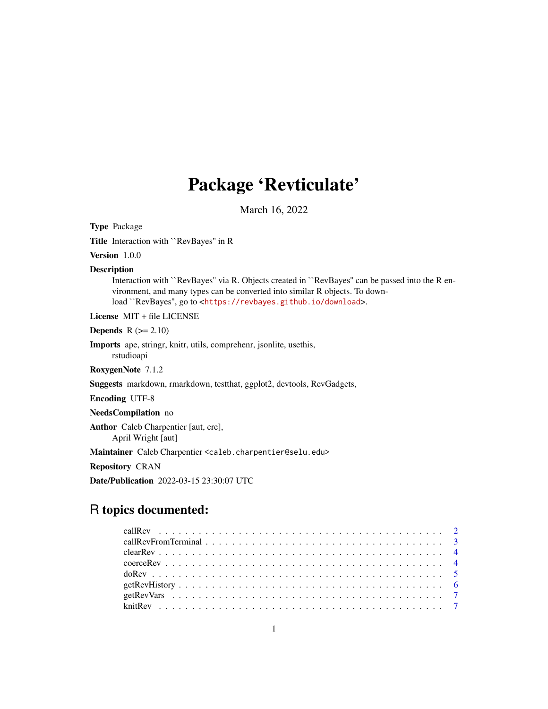## Package 'Revticulate'

March 16, 2022

Type Package

Title Interaction with ``RevBayes'' in R

Version 1.0.0

Description

Interaction with ``RevBayes'' via R. Objects created in ``RevBayes'' can be passed into the R environment, and many types can be converted into similar R objects. To download ``RevBayes'', go to <<https://revbayes.github.io/download>>.

License MIT + file LICENSE

Depends  $R$  ( $>= 2.10$ )

Imports ape, stringr, knitr, utils, comprehenr, jsonlite, usethis, rstudioapi

RoxygenNote 7.1.2

Suggests markdown, rmarkdown, testthat, ggplot2, devtools, RevGadgets,

Encoding UTF-8

NeedsCompilation no

Author Caleb Charpentier [aut, cre], April Wright [aut]

Maintainer Caleb Charpentier <caleb.charpentier@selu.edu>

Repository CRAN

Date/Publication 2022-03-15 23:30:07 UTC

### R topics documented: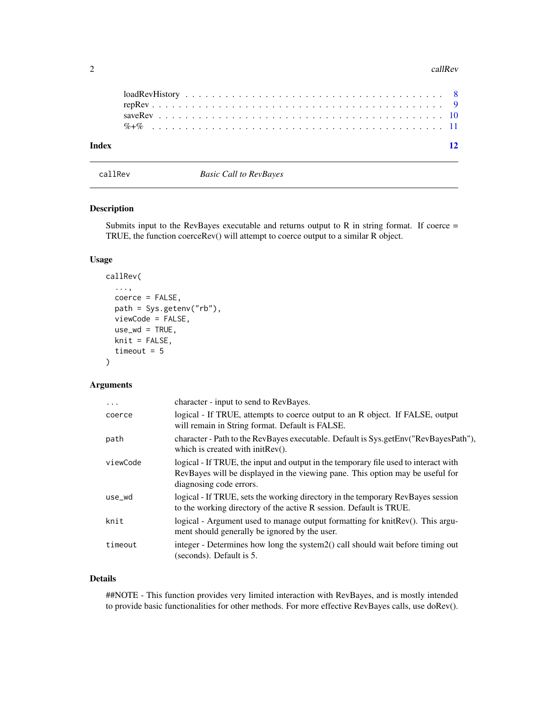#### <span id="page-1-0"></span>2 callRev

| Index |  |  |  |  |  |  |  |  |  |  |  |  |  |  |  |  |  |  |  |  |  |  |
|-------|--|--|--|--|--|--|--|--|--|--|--|--|--|--|--|--|--|--|--|--|--|--|

callRev *Basic Call to RevBayes*

#### Description

Submits input to the RevBayes executable and returns output to R in string format. If coerce  $=$ TRUE, the function coerceRev() will attempt to coerce output to a similar R object.

#### Usage

```
callRev(
  ...,
  coerce = FALSE,
 path = Sys.getenv("rb"),
  viewCode = FALSE,
  use_wd = TRUE,
 knit = FALSE,
  timeout = 5)
```
#### Arguments

| .        | character - input to send to RevBayes.                                                                                                                                                          |
|----------|-------------------------------------------------------------------------------------------------------------------------------------------------------------------------------------------------|
| coerce   | logical - If TRUE, attempts to coerce output to an R object. If FALSE, output<br>will remain in String format. Default is FALSE.                                                                |
| path     | character - Path to the RevBayes executable. Default is Sys.getEnv("RevBayesPath"),<br>which is created with initRev().                                                                         |
| viewCode | logical - If TRUE, the input and output in the temporary file used to interact with<br>RevBayes will be displayed in the viewing pane. This option may be useful for<br>diagnosing code errors. |
| use_wd   | logical - If TRUE, sets the working directory in the temporary RevBayes session<br>to the working directory of the active R session. Default is TRUE.                                           |
| knit     | logical - Argument used to manage output formatting for knitRev(). This argu-<br>ment should generally be ignored by the user.                                                                  |
| timeout  | integer - Determines how long the system 2() call should wait before timing out<br>(seconds). Default is 5.                                                                                     |

#### Details

##NOTE - This function provides very limited interaction with RevBayes, and is mostly intended to provide basic functionalities for other methods. For more effective RevBayes calls, use doRev().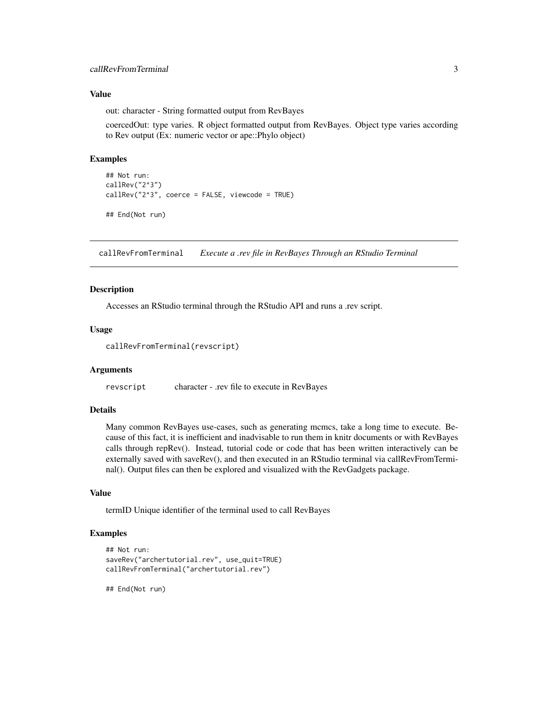#### <span id="page-2-0"></span>Value

out: character - String formatted output from RevBayes

coercedOut: type varies. R object formatted output from RevBayes. Object type varies according to Rev output (Ex: numeric vector or ape::Phylo object)

#### Examples

```
## Not run:
callRev("2^3")
callRev("2^3", coerce = FALSE, viewcode = TRUE)
## End(Not run)
```
callRevFromTerminal *Execute a .rev file in RevBayes Through an RStudio Terminal*

#### Description

Accesses an RStudio terminal through the RStudio API and runs a .rev script.

#### Usage

callRevFromTerminal(revscript)

#### Arguments

revscript character - .rev file to execute in RevBayes

#### Details

Many common RevBayes use-cases, such as generating mcmcs, take a long time to execute. Because of this fact, it is inefficient and inadvisable to run them in knitr documents or with RevBayes calls through repRev(). Instead, tutorial code or code that has been written interactively can be externally saved with saveRev(), and then executed in an RStudio terminal via callRevFromTerminal(). Output files can then be explored and visualized with the RevGadgets package.

#### Value

termID Unique identifier of the terminal used to call RevBayes

#### Examples

```
## Not run:
saveRev("archertutorial.rev", use_quit=TRUE)
callRevFromTerminal("archertutorial.rev")
```
## End(Not run)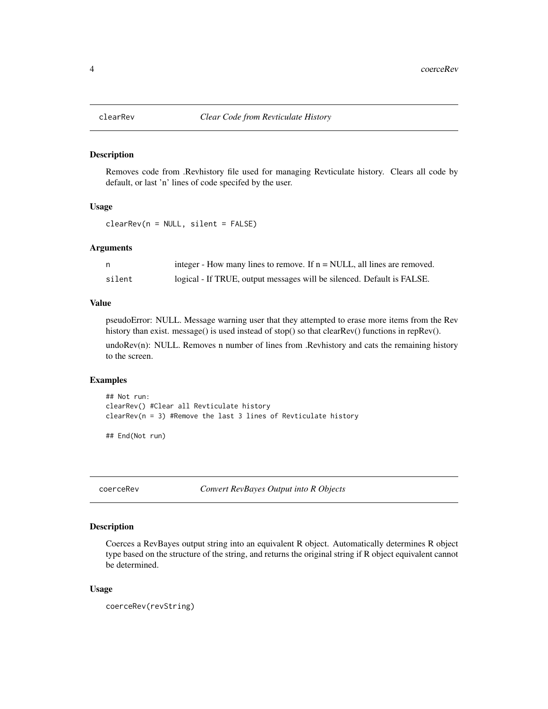<span id="page-3-0"></span>

#### Description

Removes code from .Revhistory file used for managing Revticulate history. Clears all code by default, or last 'n' lines of code specifed by the user.

#### Usage

clearRev(n = NULL, silent = FALSE)

#### **Arguments**

|        | integer - How many lines to remove. If $n = NULL$ , all lines are removed. |
|--------|----------------------------------------------------------------------------|
| silent | logical - If TRUE, output messages will be silenced. Default is FALSE.     |

#### Value

pseudoError: NULL. Message warning user that they attempted to erase more items from the Rev history than exist. message() is used instead of stop() so that clearRev() functions in repRev().

undoRev(n): NULL. Removes n number of lines from .Revhistory and cats the remaining history to the screen.

#### Examples

```
## Not run:
clearRev() #Clear all Revticulate history
clearRev(n = 3) #Remove the last 3 lines of Revticulate history
```
## End(Not run)

coerceRev *Convert RevBayes Output into R Objects*

#### Description

Coerces a RevBayes output string into an equivalent R object. Automatically determines R object type based on the structure of the string, and returns the original string if R object equivalent cannot be determined.

#### Usage

coerceRev(revString)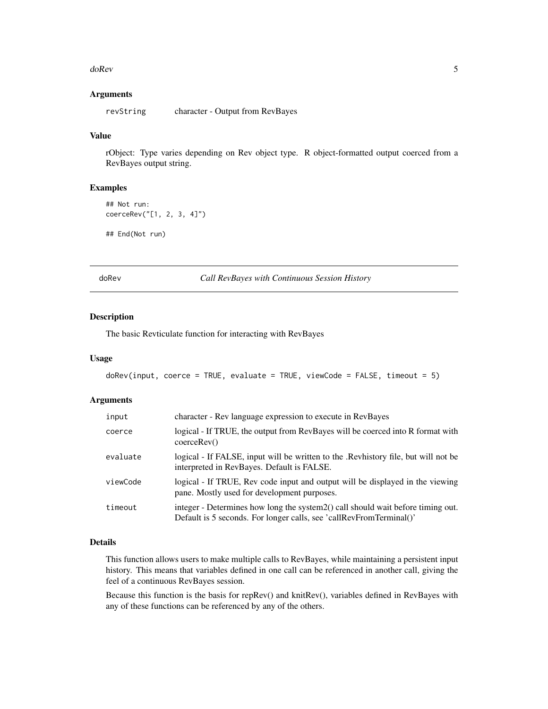#### <span id="page-4-0"></span>doRev 5

#### Arguments

revString character - Output from RevBayes

#### Value

rObject: Type varies depending on Rev object type. R object-formatted output coerced from a RevBayes output string.

#### Examples

```
## Not run:
coerceRev("[1, 2, 3, 4]")
## End(Not run)
```
doRev *Call RevBayes with Continuous Session History*

#### Description

The basic Revticulate function for interacting with RevBayes

#### Usage

```
doRev(input, coerce = TRUE, evaluate = TRUE, viewCode = FALSE, timeout = 5)
```
#### Arguments

| input    | character - Rev language expression to execute in RevBayes                                                                                              |
|----------|---------------------------------------------------------------------------------------------------------------------------------------------------------|
| coerce   | logical - If TRUE, the output from RevBayes will be coerced into R format with<br>coerceRev()                                                           |
| evaluate | logical - If FALSE, input will be written to the . Revhistory file, but will not be<br>interpreted in RevBayes. Default is FALSE.                       |
| viewCode | logical - If TRUE, Rev code input and output will be displayed in the viewing<br>pane. Mostly used for development purposes.                            |
| timeout  | integer - Determines how long the system 2() call should wait before timing out.<br>Default is 5 seconds. For longer calls, see 'callRevFromTerminal()' |

#### Details

This function allows users to make multiple calls to RevBayes, while maintaining a persistent input history. This means that variables defined in one call can be referenced in another call, giving the feel of a continuous RevBayes session.

Because this function is the basis for repRev() and knitRev(), variables defined in RevBayes with any of these functions can be referenced by any of the others.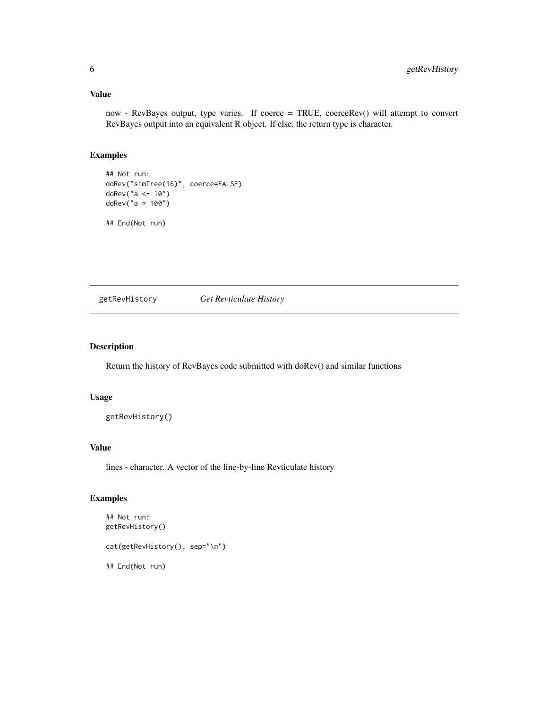#### <span id="page-5-0"></span>Value

now - RevBayes output, type varies. If coerce = TRUE, coerceRev() will attempt to convert RevBayes output into an equivalent R object. If else, the return type is character.

#### Examples

```
## Not run:
doRev("simTree(16)", coerce=FALSE)
doRev("a <- 10")
doRev("a * 100")
```
## End(Not run)

getRevHistory *Get Revticulate History*

#### Description

Return the history of RevBayes code submitted with doRev() and similar functions

#### Usage

```
getRevHistory()
```
#### Value

lines - character. A vector of the line-by-line Revticulate history

#### Examples

```
## Not run:
getRevHistory()
cat(getRevHistory(), sep="\n")
## End(Not run)
```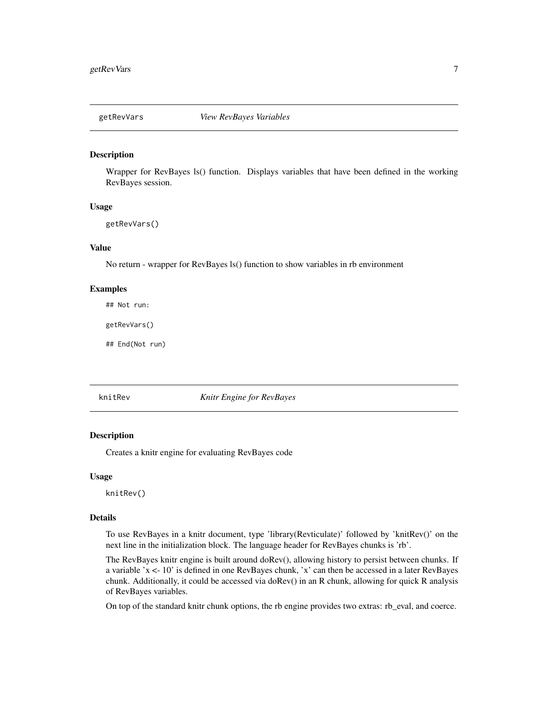<span id="page-6-0"></span>

#### Description

Wrapper for RevBayes ls() function. Displays variables that have been defined in the working RevBayes session.

#### Usage

getRevVars()

#### Value

No return - wrapper for RevBayes ls() function to show variables in rb environment

#### Examples

## Not run:

getRevVars()

## End(Not run)

knitRev *Knitr Engine for RevBayes*

#### Description

Creates a knitr engine for evaluating RevBayes code

#### Usage

knitRev()

#### Details

To use RevBayes in a knitr document, type 'library(Revticulate)' followed by 'knitRev()' on the next line in the initialization block. The language header for RevBayes chunks is 'rb'.

The RevBayes knitr engine is built around doRev(), allowing history to persist between chunks. If a variable 'x <- 10' is defined in one RevBayes chunk, 'x' can then be accessed in a later RevBayes chunk. Additionally, it could be accessed via doRev() in an R chunk, allowing for quick R analysis of RevBayes variables.

On top of the standard knitr chunk options, the rb engine provides two extras: rb\_eval, and coerce.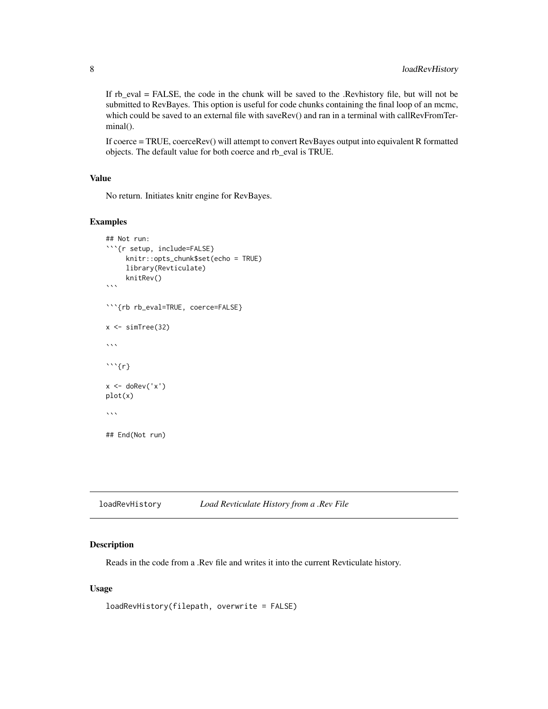<span id="page-7-0"></span>If rb\_eval = FALSE, the code in the chunk will be saved to the .Revhistory file, but will not be submitted to RevBayes. This option is useful for code chunks containing the final loop of an mcmc, which could be saved to an external file with saveRev() and ran in a terminal with callRevFromTerminal().

If coerce = TRUE, coerceRev() will attempt to convert RevBayes output into equivalent R formatted objects. The default value for both coerce and rb\_eval is TRUE.

#### Value

No return. Initiates knitr engine for RevBayes.

#### Examples

```
## Not run:
```{r setup, include=FALSE}
     knitr::opts_chunk$set(echo = TRUE)
     library(Revticulate)
     knitRev()
\sqrt{2}```{rb rb_eval=TRUE, coerce=FALSE}
x \leftarrow simTree(32)
\cdots\cdots {r}
x < - doRev('x')
plot(x)
\sqrt{2}## End(Not run)
```
loadRevHistory *Load Revticulate History from a .Rev File*

#### Description

Reads in the code from a .Rev file and writes it into the current Revticulate history.

#### Usage

```
loadRevHistory(filepath, overwrite = FALSE)
```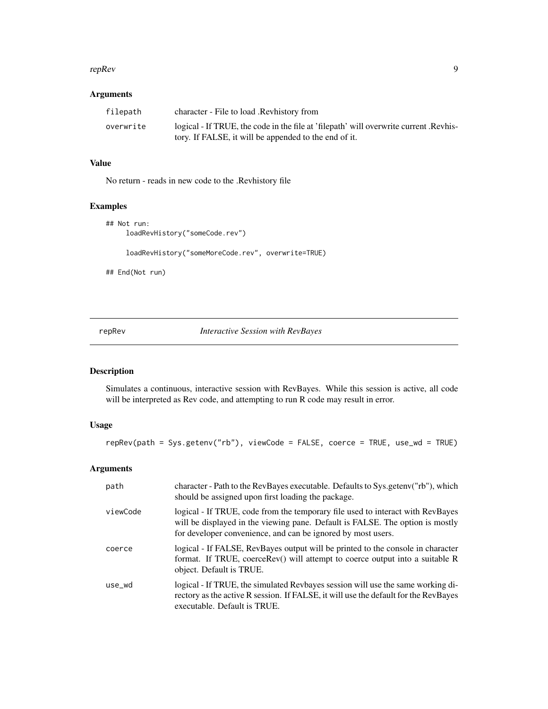#### <span id="page-8-0"></span>repRev 9

#### Arguments

| filepath  | character - File to load .Revhistory from                                             |
|-----------|---------------------------------------------------------------------------------------|
| overwrite | logical - If TRUE, the code in the file at 'filepath' will overwrite current. Revhis- |
|           | tory. If FALSE, it will be appended to the end of it.                                 |

#### Value

No return - reads in new code to the .Revhistory file

#### Examples

```
## Not run:
    loadRevHistory("someCode.rev")
     loadRevHistory("someMoreCode.rev", overwrite=TRUE)
## End(Not run)
```
repRev *Interactive Session with RevBayes*

#### Description

Simulates a continuous, interactive session with RevBayes. While this session is active, all code will be interpreted as Rev code, and attempting to run R code may result in error.

#### Usage

```
repRev(path = Sys.getenv("rb"), viewCode = FALSE, coerce = TRUE, use_wd = TRUE)
```
#### Arguments

| path     | character - Path to the RevBayes executable. Defaults to Sys.getenv("rb"), which<br>should be assigned upon first loading the package.                                                                                          |
|----------|---------------------------------------------------------------------------------------------------------------------------------------------------------------------------------------------------------------------------------|
| viewCode | logical - If TRUE, code from the temporary file used to interact with RevBayes<br>will be displayed in the viewing pane. Default is FALSE. The option is mostly<br>for developer convenience, and can be ignored by most users. |
| coerce   | logical - If FALSE, RevBayes output will be printed to the console in character<br>format. If TRUE, coerceRev() will attempt to coerce output into a suitable R<br>object. Default is TRUE.                                     |
| use wd   | logical - If TRUE, the simulated Revbayes session will use the same working di-<br>rectory as the active R session. If FALSE, it will use the default for the RevBayes<br>executable. Default is TRUE.                          |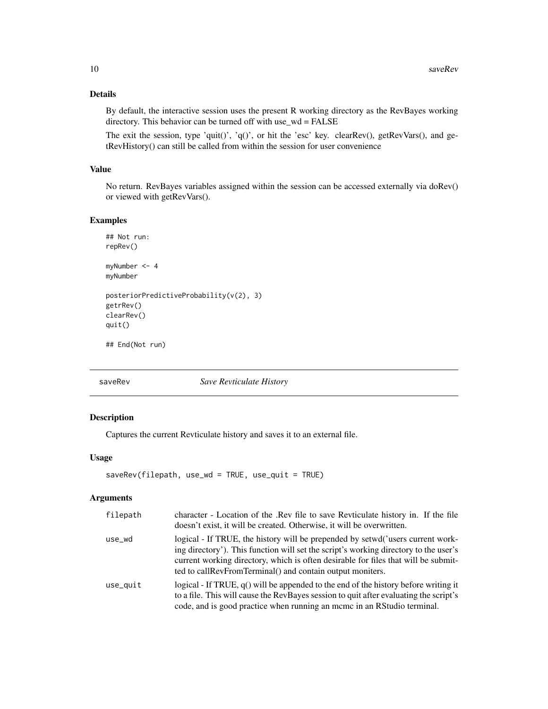#### Details

By default, the interactive session uses the present R working directory as the RevBayes working directory. This behavior can be turned off with use\_wd = FALSE

The exit the session, type 'quit()', 'q()', or hit the 'esc' key. clearRev(), getRevVars(), and getRevHistory() can still be called from within the session for user convenience

#### Value

No return. RevBayes variables assigned within the session can be accessed externally via doRev() or viewed with getRevVars().

#### Examples

```
## Not run:
repRev()
myNumber <- 4
myNumber
posteriorPredictiveProbability(v(2), 3)
getrRev()
clearRev()
quit()
## End(Not run)
```
saveRev *Save Revticulate History*

#### Description

Captures the current Revticulate history and saves it to an external file.

#### Usage

```
saveRev(filepath, use_wd = TRUE, use_quit = TRUE)
```
#### Arguments

| filepath | character - Location of the .Rev file to save Revticulate history in. If the file<br>doesn't exist, it will be created. Otherwise, it will be overwritten.                                                                                                                                                                |
|----------|---------------------------------------------------------------------------------------------------------------------------------------------------------------------------------------------------------------------------------------------------------------------------------------------------------------------------|
| use_wd   | logical - If TRUE, the history will be prepended by setwd('users current work-<br>ing directory'). This function will set the script's working directory to the user's<br>current working directory, which is often desirable for files that will be submit-<br>ted to callRevFromTerminal() and contain output moniters. |
| use_quit | logical - If TRUE, $q()$ will be appended to the end of the history before writing it<br>to a file. This will cause the RevBayes session to quit after evaluating the script's<br>code, and is good practice when running an mcmc in an RStudio terminal.                                                                 |

<span id="page-9-0"></span>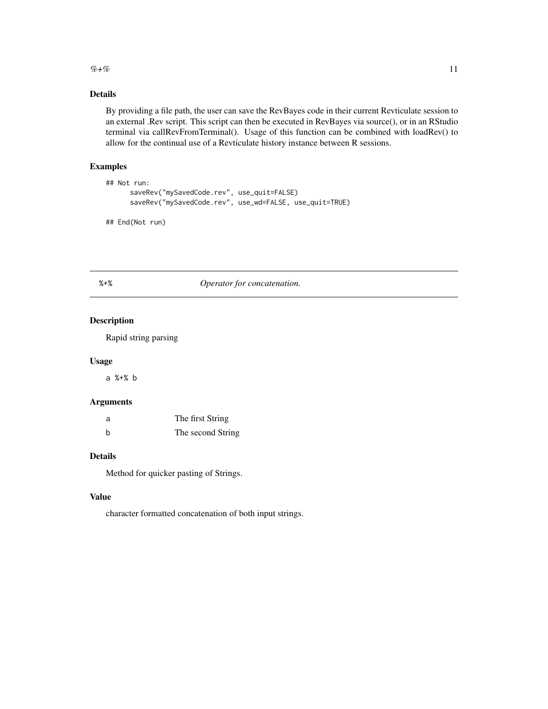#### <span id="page-10-0"></span> $\%+ \%$  11

#### Details

By providing a file path, the user can save the RevBayes code in their current Revticulate session to an external .Rev script. This script can then be executed in RevBayes via source(), or in an RStudio terminal via callRevFromTerminal(). Usage of this function can be combined with loadRev() to allow for the continual use of a Revticulate history instance between R sessions.

#### Examples

```
## Not run:
     saveRev("mySavedCode.rev", use_quit=FALSE)
     saveRev("mySavedCode.rev", use_wd=FALSE, use_quit=TRUE)
```
## End(Not run)

#### %+% *Operator for concatenation.*

#### Description

Rapid string parsing

#### Usage

a %+% b

#### Arguments

| a | The first String  |
|---|-------------------|
| h | The second String |

#### Details

Method for quicker pasting of Strings.

#### Value

character formatted concatenation of both input strings.